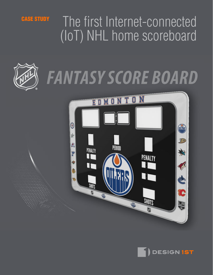# **CASE STUDY** The first Internet-connected (IoT) NHL home scoreboard



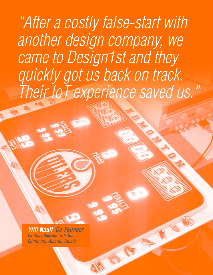*"After a costly false-start with another design company, we came to Design1st and they quickly got us back on track. Their IoT experience saved us."*

*Will Nault, Co-Founder Fantasy Scoreboards Inc. Edmonton, Alberta, Canada*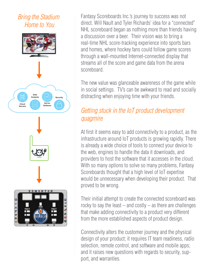### *Bring the Stadium Home to You*





Fantasy Scoreboards Inc.'s journey to success was not direct. Will Nault and Tyler Richards' idea for a "connected" NHL scoreboard began as nothing more than friends having a discussion over a beer. Their vision was to bring a real-time NHL score-tracking experience into sports bars and homes, where hockey fans could follow game scores through a wall-mounted Internet-connected display that streams all of the score and game data from the arena scoreboard.

The new value was glanceable awareness of the game while in social settings. TV's can be awkward to read and socially distracting when enjoying time with your friends.

### *Getting stuck in the IoT product development quagmire*

At first it seems easy to add connectivity to a product, as the infrastructure around IoT products is growing rapidly. There is already a wide choice of tools to connect your device to the web, engines to handle the data it downloads, and providers to host the software that it accesses in the cloud. With so many options to solve so many problems, Fantasy Scoreboards thought that a high level of IoT expertise would be unnecessary when developing their product. That proved to be wrong.

Their initial attempt to create the connected scoreboard was rocky to say the least  $-$  and costly  $-$  as there are challenges that make adding connectivity to a product very different from the more established aspects of product design.

Connectivity alters the customer journey and the physical design of your product; it requires IT team readiness, radio selection, remote control, and software and mobile apps; and it raises new questions with regards to security, support, and warranties.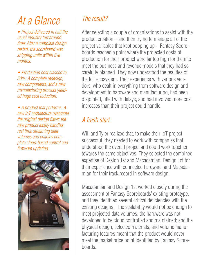## *At a Glance*

*• Project delivered in half the usual industry turnaround time: After a complete design restart, the scoreboard was shipping units within five months.*

*• Production cost slashed to 50%: A complete redesign, new components, and a new manufacturing process yielded huge cost reduction.*

*• A product that performs: A new IoT architecture overcame the original design flaws; the new product easily handles real time streaming data volumes and enables complete cloud-based control and firmware updating.*



### *The result?*

After selecting a couple of organizations to assist with the product creation – and then trying to manage all of the project variables that kept popping up – Fantasy Scoreboards reached a point where the projected costs of production for their product were far too high for them to meet the business and revenue models that they had so carefully planned. They now understood the realities of the IoT ecosystem. Their experience with various vendors, who dealt in everything from software design and development to hardware and manufacturing, had been disjointed, filled with delays, and had involved more cost increases than their project could handle.

### *A fresh start*

Will and Tyler realized that, to make their IoT project successful, they needed to work with companies that understood the overall project and could work together towards the same objectives. They selected the combined expertise of Design 1st and Macadamian: Design 1st for their experience with connected hardware, and Macadamian for their track record in software design.

Macadamian and Design 1st worked closely during the assessment of Fantasy Scoreboards' existing prototype, and they identified several critical deficiencies with the existing designs. The scalability would not be enough to meet projected data volumes; the hardware was not developed to be cloud controlled and maintained; and the physical design, selected materials, and volume manufacturing features meant that the product would never meet the market price point identified by Fantasy Scoreboards.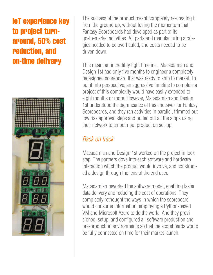### IoT experience key to project turnaround, 50% cost reduction, and on-time delivery



The success of the product meant completely re-creating it from the ground up, without losing the momentum that Fantasy Scoreboards had developed as part of its go-to-market activities. All parts and manufacturing strategies needed to be overhauled, and costs needed to be driven down.

This meant an incredibly tight timeline. Macadamian and Design 1st had only five months to engineer a completely redesigned scoreboard that was ready to ship to market. To put it into perspective, an aggressive timeline to complete a project of this complexity would have easily extended to eight months or more. However, Macadamian and Design 1st understood the significance of this endeavor for Fantasy Scoreboards, and they ran activities in parallel, trimmed out low risk approval steps and pulled out all the stops using their network to smooth out production set-up.

### *Back on track*

Macadamian and Design 1st worked on the project in lockstep. The partners dove into each software and hardware interaction which the product would involve, and constructed a design through the lens of the end user.

Macadamian reworked the software model, enabling faster data delivery and reducing the cost of operations. They completely rethought the ways in which the scoreboard would consume information, employing a Python-based VM and Microsoft Azure to do the work. And they provisioned, setup, and configured all software production and pre-production environments so that the scoreboards would be fully connected on time for their market launch.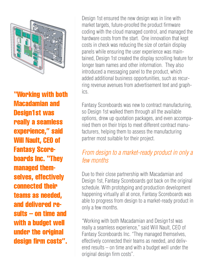

"Working with both Macadamian and Design1st was really a seamless experience," said Will Nault, CEO of Fantasy Scoreboards Inc. "They managed themselves, effectively connected their teams as needed, and delivered results – on time and with a budget well under the original design firm costs".

Design 1st ensured the new design was in line with market targets, future-proofed the product firmware coding with the cloud managed control, and managed the hardware costs from the start. One innovation that kept costs in check was reducing the size of certain display panels while ensuring the user experience was maintained, Design 1st created the display scrolling feature for longer team names and other information. They also introduced a messaging panel to the product, which added additional business opportunities, such as recurring revenue avenues from advertisement text and graphics.

Fantasy Scoreboards was new to contract manufacturing, so Design 1st walked them through all the available options, drew up quotation packages, and even accompanied them on their trips to meet different contract manufacturers, helping them to assess the manufacturing partner most suitable for their project.

### *From design to a market-ready product in only a few months*

Due to their close partnership with Macadamian and Design 1st, Fantasy Scoreboards got back on the original schedule. With prototyping and production development happening virtually all at once, Fantasy Scoreboards was able to progress from design to a market-ready product in only a few months.

"Working with both Macadamian and Design1st was really a seamless experience," said Will Nault, CEO of Fantasy Scoreboards Inc. "They managed themselves, effectively connected their teams as needed, and delivered results – on time and with a budget well under the original design firm costs".